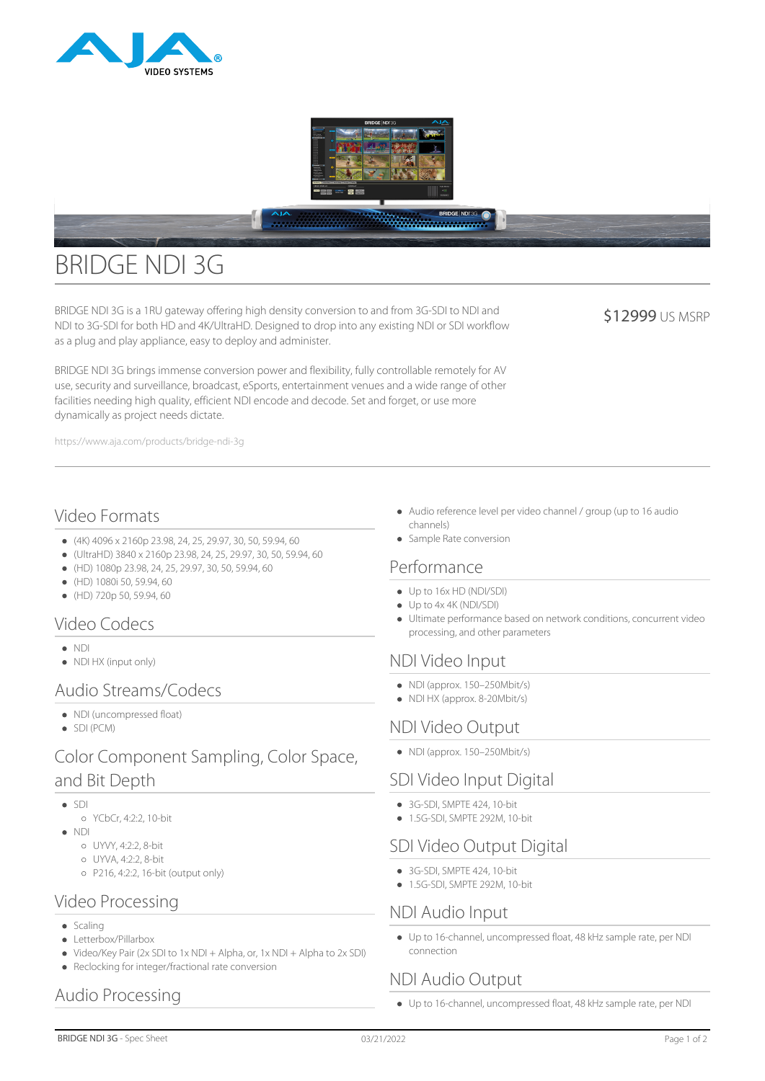



# BRIDGE NDI 3G

BRIDGE NDI 3G is a 1RU gateway offering high density conversion to and from 3G-SDI to NDI and NDI to 3G-SDI for both HD and 4K/UltraHD. Designed to drop into any existing NDI or SDI workflow as a plug and play appliance, easy to deploy and administer.

\$12999 US MSRP

BRIDGE NDI 3G brings immense conversion power and flexibility, fully controllable remotely for AV use, security and surveillance, broadcast, eSports, entertainment venues and a wide range of other facilities needing high quality, efficient NDI encode and decode. Set and forget, or use more dynamically as project needs dictate.

https://www.aja.com/products/bridge-ndi-3g

# Video Formats

- (4K) 4096 x 2160p 23.98, 24, 25, 29.97, 30, 50, 59.94, 60
- (UltraHD) 3840 x 2160p 23.98, 24, 25, 29.97, 30, 50, 59.94, 60
- (HD) 1080p 23.98, 24, 25, 29.97, 30, 50, 59.94, 60
- $(HD)$  1080i 50, 59.94, 60
- $(HD)$  720p 50, 59.94, 60

## Video Codecs

- NDI
- NDI HX (input only)

## Audio Streams/Codecs

- NDI (uncompressed float)
- SDI (PCM)

# Color Component Sampling, Color Space, and Bit Depth

- $\bullet$  SDI
- YCbCr, 4:2:2, 10-bit
- NDI
	- UYVY, 4:2:2, 8-bit
	- UYVA, 4:2:2, 8-bit
	- P216, 4:2:2, 16-bit (output only)

#### Video Processing

- $\bullet$  Scaling
- Letterbox/Pillarbox
- Video/Key Pair (2x SDI to 1x NDI + Alpha, or, 1x NDI + Alpha to 2x SDI)
- Reclocking for integer/fractional rate conversion

# Audio Processing

- Audio reference level per video channel / group (up to 16 audio channels)
- Sample Rate conversion

#### Performance

- Up to 16x HD (NDI/SDI)
- Up to 4x 4K (NDI/SDI)
- Ultimate performance based on network conditions, concurrent video processing, and other parameters

## NDI Video Input

- NDI (approx. 150–250Mbit/s)
- NDI HX (approx. 8-20Mbit/s)

## NDI Video Output

NDI (approx. 150–250Mbit/s)

## SDI Video Input Digital

- $\bullet$  3G-SDI, SMPTF 424, 10-bit
- 1.5G-SDI, SMPTE 292M, 10-bit

## SDI Video Output Digital

- $\bullet$  3G-SDI, SMPTF 424, 10-bit
- 1.5G-SDI, SMPTF 292M, 10-bit

## NDI Audio Input

Up to 16-channel, uncompressed float, 48 kHz sample rate, per NDI connection

## NDI Audio Output

Up to 16-channel, uncompressed float, 48 kHz sample rate, per NDI